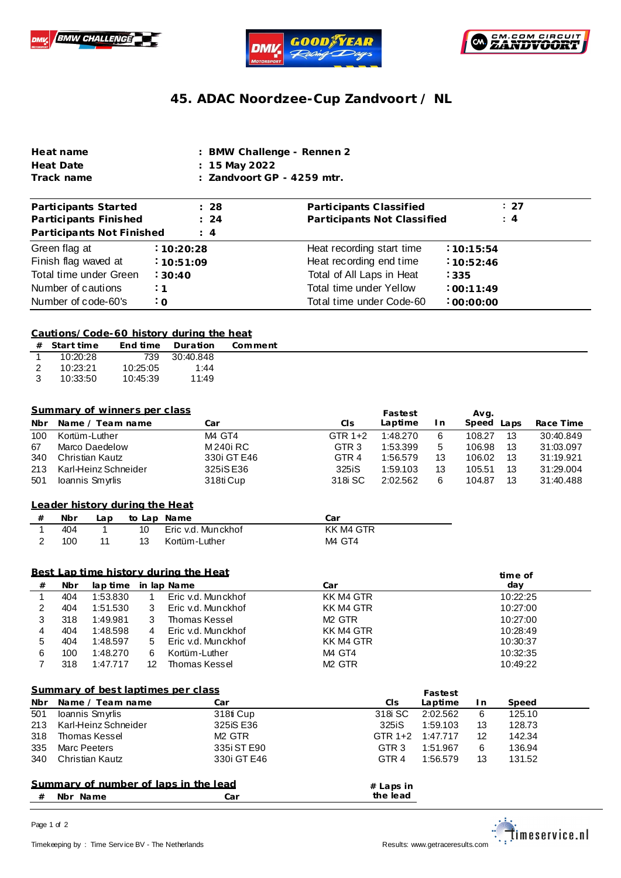





## **45. ADAC Noordzee-Cup Zandvoort / NL**

| Heat name  | : BMW Challenge - Rennen 2            |
|------------|---------------------------------------|
| Heat Date  | : 15 May 2022                         |
| Track name | $\therefore$ Zandvoort GP - 4259 mtr. |

| Participants Started<br>Participants Finished | : 28<br>$\therefore$ 24 | Participants Classified<br>Participants Not Classified | : 27<br>: 4      |
|-----------------------------------------------|-------------------------|--------------------------------------------------------|------------------|
| Participants Not Finished                     | $\therefore$ 4          |                                                        |                  |
| Green flag at                                 | :10:20:28               | Heat recording start time                              | :10:15:54        |
| Finish flag waved at                          | :10:51:09               | Heat recording end time                                | 10:52:46         |
| Total time under Green                        | :30:40                  | Total of All Laps in Heat                              | $\frac{1}{2}335$ |
| Number of cautions                            | : 1                     | Total time under Yellow                                | :00:11:49        |
| Number of code-60's                           | $\cdot$ 0               | Total time under Code-60                               | :00:00:00        |

## **Cautions/Code-60 history during the heat**

|                | $#$ Start time |          | End time Duration | Comment |
|----------------|----------------|----------|-------------------|---------|
|                | 10:20:28       | 739      | 30:40.848         |         |
| $\overline{2}$ | 10:23:21       | 10:25:05 | 1.44              |         |
| $\mathcal{B}$  | 10:33:50       | 10:45:39 | 11:49             |         |

|     | Summary of winners per class |             |                  | Fastest  |     | Avg.          |           |
|-----|------------------------------|-------------|------------------|----------|-----|---------------|-----------|
| Nbr | Name / Team name             | Car         | CIs              | Laptime  | I n | Speed<br>Lans | Race Time |
| 100 | Kortüm-Luther                | M4 GT4      | GTR $1+2$        | 1:48.270 | 6   | 13<br>108.27  | 30:40.849 |
| 67  | Marco Daedelow               | M 240i RC   | GTR <sub>3</sub> | 1:53.399 | 5   | 13<br>106.98  | 31:03.097 |
| 340 | Christian Kautz              | 330i GT E46 | GTR <sub>4</sub> | 1:56.579 | 13  | 13<br>106.02  | 31:19.921 |
| 213 | Karl-Heinz Schneider         | 325iS E36   | 325iS            | 1:59.103 | 13  | 13<br>105.51  | 31:29.004 |
| 501 | Ioannis Smyrlis              | 318ti Cup   | 318 SC           | 2:02.562 | 6   | 13<br>104.87  | 31:40.488 |

|  | Leader history during the Heat |  |
|--|--------------------------------|--|
|  |                                |  |
|  |                                |  |
|  |                                |  |

| # | Nbr | Lap | to Lap Name |                       | Car       |
|---|-----|-----|-------------|-----------------------|-----------|
|   | 404 |     |             | 10 Eric v.d. Munckhof | KK M4 GTR |
|   | 100 | 11  |             | 13 Kortüm-Luther      | M4 GT4    |

## **Best Lap time history during the Heat**

|              | Best Lap time history during the Heat<br>time of |          |    |                    |                    |          |  |
|--------------|--------------------------------------------------|----------|----|--------------------|--------------------|----------|--|
| #            | Nbr                                              | lap time |    | in lap Name        | Car                | day      |  |
|              | 404                                              | 1:53.830 |    | Eric v.d. Munckhof | KK M4 GTR          | 10:22:25 |  |
|              | 404                                              | 1:51.530 | 3  | Eric v.d. Munckhof | KK M4 GTR          | 10:27:00 |  |
|              | 318                                              | 1:49.981 | 3  | Thomas Kessel      | M <sub>2</sub> GTR | 10:27:00 |  |
|              | 404                                              | 1:48.598 | 4  | Eric v.d. Munckhof | KK M4 GTR          | 10:28:49 |  |
| <sub>5</sub> | 404                                              | 1:48.597 | 5  | Eric v.d. Munckhof | KK M4 GTR          | 10:30:37 |  |
| 6            | 100                                              | 1:48.270 | 6  | Kortüm-Luther      | M4 GT4             | 10:32:35 |  |
|              | 318                                              | 1:47.717 | 12 | Thomas Kessel      | M <sub>2</sub> GTR | 10:49:22 |  |

|     | <b>Summary of best laptimes per class</b> |             | Fastest          |          |     |        |
|-----|-------------------------------------------|-------------|------------------|----------|-----|--------|
| Nbr | Name / Team name                          | Car         | Cls              | Laptime  | In. | Speed  |
| 501 | Ioannis Smyrlis                           | 318ti Cup   | 318i SC          | 2:02.562 | 6   | 125.10 |
| 213 | Karl-Heinz Schneider                      | 325 SE 36   | 325iS            | 1:59.103 | 13  | 128.73 |
| 318 | Thomas Kessel                             | M2 GTR      | GTR $1+2$        | 1:47.717 | 12  | 142.34 |
| 335 | Marc Peeters                              | 335i ST E90 | GTR <sub>3</sub> | 1:51.967 | 6   | 136.94 |
|     | 340 Christian Kautz                       | 330i GT E46 | GTR <sub>4</sub> | 1:56.579 | 13  | 131.52 |
|     | Summary of number of laps in the lead     |             | $#$ Laps in      |          |     |        |



Page 1 of 2